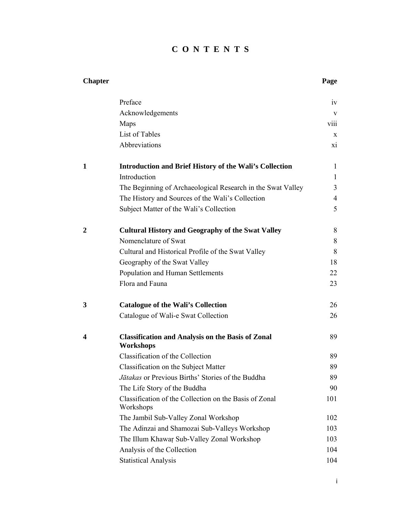## **C O N T E N T S**

| <b>Chapter</b> |                                                                       | Page            |
|----------------|-----------------------------------------------------------------------|-----------------|
|                | Preface                                                               | iv              |
|                | Acknowledgements                                                      | V               |
|                | Maps                                                                  | viii            |
|                | List of Tables                                                        | X               |
|                | Abbreviations                                                         | $\overline{X1}$ |
| 1              | <b>Introduction and Brief History of the Wali's Collection</b>        | 1               |
|                | Introduction                                                          | $\mathbf{1}$    |
|                | The Beginning of Archaeological Research in the Swat Valley           | 3               |
|                | The History and Sources of the Wali's Collection                      | $\overline{4}$  |
|                | Subject Matter of the Wali's Collection                               | 5               |
| 2              | <b>Cultural History and Geography of the Swat Valley</b>              | 8               |
|                | Nomenclature of Swat                                                  | 8               |
|                | Cultural and Historical Profile of the Swat Valley                    | 8               |
|                | Geography of the Swat Valley                                          | 18              |
|                | Population and Human Settlements                                      | 22              |
|                | Flora and Fauna                                                       | 23              |
| 3              | <b>Catalogue of the Wali's Collection</b>                             | 26              |
|                | Catalogue of Wali-e Swat Collection                                   | 26              |
| 4              | <b>Classification and Analysis on the Basis of Zonal</b><br>Workshops | 89              |
|                | Classification of the Collection                                      | 89              |
|                | Classification on the Subject Matter                                  | 89              |
|                | Jātakas or Previous Births' Stories of the Buddha                     | 89              |
|                | The Life Story of the Buddha                                          | 90              |
|                | Classification of the Collection on the Basis of Zonal<br>Workshops   | 101             |
|                | The Jambil Sub-Valley Zonal Workshop                                  | 102             |
|                | The Adinzai and Shamozai Sub-Valleys Workshop                         | 103             |
|                | The Illum Khawar Sub-Valley Zonal Workshop                            | 103             |
|                | Analysis of the Collection                                            | 104             |
|                | <b>Statistical Analysis</b>                                           | 104             |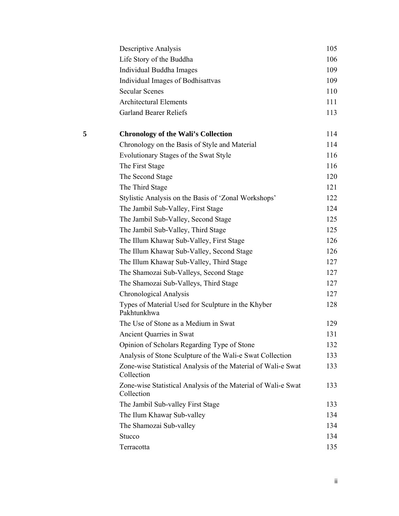|   | Descriptive Analysis                                                        | 105 |
|---|-----------------------------------------------------------------------------|-----|
|   | Life Story of the Buddha                                                    | 106 |
|   | Individual Buddha Images                                                    | 109 |
|   | Individual Images of Bodhisattvas                                           | 109 |
|   | <b>Secular Scenes</b>                                                       | 110 |
|   | <b>Architectural Elements</b>                                               | 111 |
|   | <b>Garland Bearer Reliefs</b>                                               | 113 |
| 5 | <b>Chronology of the Wali's Collection</b>                                  | 114 |
|   | Chronology on the Basis of Style and Material                               | 114 |
|   | Evolutionary Stages of the Swat Style                                       | 116 |
|   | The First Stage                                                             | 116 |
|   | The Second Stage                                                            | 120 |
|   | The Third Stage                                                             | 121 |
|   | Stylistic Analysis on the Basis of 'Zonal Workshops'                        | 122 |
|   | The Jambil Sub-Valley, First Stage                                          | 124 |
|   | The Jambil Sub-Valley, Second Stage                                         | 125 |
|   | The Jambil Sub-Valley, Third Stage                                          | 125 |
|   | The Illum Khawar Sub-Valley, First Stage                                    | 126 |
|   | The Illum Khawar Sub-Valley, Second Stage                                   | 126 |
|   | The Illum Khawar Sub-Valley, Third Stage                                    | 127 |
|   | The Shamozai Sub-Valleys, Second Stage                                      | 127 |
|   | The Shamozai Sub-Valleys, Third Stage                                       | 127 |
|   | Chronological Analysis                                                      | 127 |
|   | Types of Material Used for Sculpture in the Khyber<br>Pakhtunkhwa           | 128 |
|   | The Use of Stone as a Medium in Swat                                        | 129 |
|   | <b>Ancient Quarries in Swat</b>                                             | 131 |
|   | Opinion of Scholars Regarding Type of Stone                                 | 132 |
|   | Analysis of Stone Sculpture of the Wali-e Swat Collection                   | 133 |
|   | Zone-wise Statistical Analysis of the Material of Wali-e Swat<br>Collection | 133 |
|   | Zone-wise Statistical Analysis of the Material of Wali-e Swat<br>Collection | 133 |
|   | The Jambil Sub-valley First Stage                                           | 133 |
|   | The Ilum Khawar Sub-valley                                                  | 134 |
|   | The Shamozai Sub-valley                                                     | 134 |
|   | Stucco                                                                      | 134 |
|   | Terracotta                                                                  | 135 |